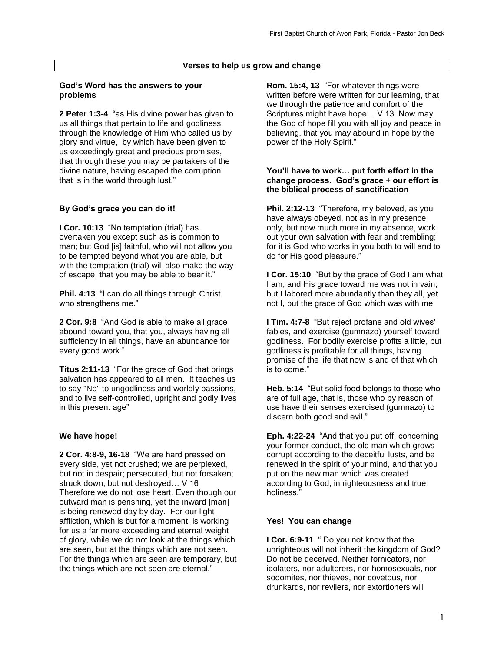## **Verses to help us grow and change**

#### **God's Word has the answers to your problems**

**2 Peter 1:3-4** "as His divine power has given to us all things that pertain to life and godliness, through the knowledge of Him who called us by glory and virtue, by which have been given to us exceedingly great and precious promises, that through these you may be partakers of the divine nature, having escaped the corruption that is in the world through lust."

## **By God's grace you can do it!**

**I Cor. 10:13** "No temptation (trial) has overtaken you except such as is common to man; but God [is] faithful, who will not allow you to be tempted beyond what you are able, but with the temptation (trial) will also make the way of escape, that you may be able to bear it."

**Phil. 4:13** "I can do all things through Christ who strengthens me."

**2 Cor. 9:8** "And God is able to make all grace abound toward you, that you, always having all sufficiency in all things, have an abundance for every good work."

**Titus 2:11-13** "For the grace of God that brings salvation has appeared to all men. It teaches us to say "No" to ungodliness and worldly passions, and to live self-controlled, upright and godly lives in this present age"

#### **We have hope!**

**2 Cor. 4:8-9, 16-18** "We are hard pressed on every side, yet not crushed; we are perplexed, but not in despair; persecuted, but not forsaken; struck down, but not destroyed… V 16 Therefore we do not lose heart. Even though our outward man is perishing, yet the inward [man] is being renewed day by day. For our light affliction, which is but for a moment, is working for us a far more exceeding and eternal weight of glory, while we do not look at the things which are seen, but at the things which are not seen. For the things which are seen are temporary, but the things which are not seen are eternal."

**Rom. 15:4, 13** "For whatever things were written before were written for our learning, that we through the patience and comfort of the Scriptures might have hope… V 13 Now may the God of hope fill you with all joy and peace in believing, that you may abound in hope by the power of the Holy Spirit."

#### **You'll have to work… put forth effort in the change process. God's grace + our effort is the biblical process of sanctification**

**Phil. 2:12-13** "Therefore, my beloved, as you have always obeyed, not as in my presence only, but now much more in my absence, work out your own salvation with fear and trembling; for it is God who works in you both to will and to do for His good pleasure."

**I Cor. 15:10** "But by the grace of God I am what I am, and His grace toward me was not in vain; but I labored more abundantly than they all, yet not I, but the grace of God which was with me.

**I Tim. 4:7-8** "But reject profane and old wives' fables, and exercise (gumnazo) yourself toward godliness. For bodily exercise profits a little, but godliness is profitable for all things, having promise of the life that now is and of that which is to come."

**Heb. 5:14** "But solid food belongs to those who are of full age, that is, those who by reason of use have their senses exercised (gumnazo) to discern both good and evil."

**Eph. 4:22-24** "And that you put off, concerning your former conduct, the old man which grows corrupt according to the deceitful lusts, and be renewed in the spirit of your mind, and that you put on the new man which was created according to God, in righteousness and true holiness<sup>'</sup>

#### **Yes! You can change**

**I Cor. 6:9-11** " Do you not know that the unrighteous will not inherit the kingdom of God? Do not be deceived. Neither fornicators, nor idolaters, nor adulterers, nor homosexuals, nor sodomites, nor thieves, nor covetous, nor drunkards, nor revilers, nor extortioners will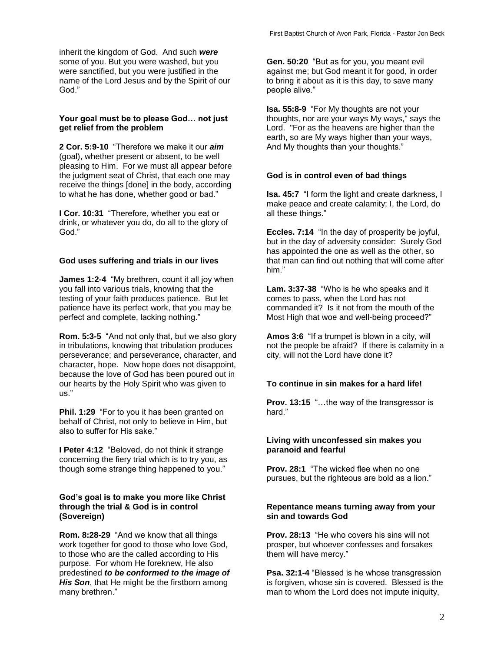inherit the kingdom of God. And such *were* some of you. But you were washed, but you were sanctified, but you were justified in the name of the Lord Jesus and by the Spirit of our God."

## **Your goal must be to please God… not just get relief from the problem**

**2 Cor. 5:9-10** "Therefore we make it our *aim*  (goal), whether present or absent, to be well pleasing to Him. For we must all appear before the judgment seat of Christ, that each one may receive the things [done] in the body, according to what he has done, whether good or bad."

**I Cor. 10:31** "Therefore, whether you eat or drink, or whatever you do, do all to the glory of God."

## **God uses suffering and trials in our lives**

**James 1:2-4** "My brethren, count it all joy when you fall into various trials, knowing that the testing of your faith produces patience. But let patience have its perfect work, that you may be perfect and complete, lacking nothing."

**Rom. 5:3-5** "And not only that, but we also glory in tribulations, knowing that tribulation produces perseverance; and perseverance, character, and character, hope. Now hope does not disappoint, because the love of God has been poured out in our hearts by the Holy Spirit who was given to us."

**Phil. 1:29** "For to you it has been granted on behalf of Christ, not only to believe in Him, but also to suffer for His sake."

**I Peter 4:12** "Beloved, do not think it strange concerning the fiery trial which is to try you, as though some strange thing happened to you."

## **God's goal is to make you more like Christ through the trial & God is in control (Sovereign)**

**Rom. 8:28-29** "And we know that all things work together for good to those who love God, to those who are the called according to His purpose. For whom He foreknew, He also predestined *to be conformed to the image of His Son*, that He might be the firstborn among many brethren."

**Gen. 50:20** "But as for you, you meant evil against me; but God meant it for good, in order to bring it about as it is this day, to save many people alive."

**Isa. 55:8-9** "For My thoughts are not your thoughts, nor are your ways My ways," says the Lord. "For as the heavens are higher than the earth, so are My ways higher than your ways, And My thoughts than your thoughts."

## **God is in control even of bad things**

**Isa. 45:7** "I form the light and create darkness, I make peace and create calamity; I, the Lord, do all these things."

**Eccles. 7:14** "In the day of prosperity be joyful, but in the day of adversity consider: Surely God has appointed the one as well as the other, so that man can find out nothing that will come after him."

**Lam. 3:37-38** "Who is he who speaks and it comes to pass, when the Lord has not commanded it? Is it not from the mouth of the Most High that woe and well-being proceed?"

**Amos 3:6** "If a trumpet is blown in a city, will not the people be afraid? If there is calamity in a city, will not the Lord have done it?

# **To continue in sin makes for a hard life!**

**Prov. 13:15** "…the way of the transgressor is hard."

## **Living with unconfessed sin makes you paranoid and fearful**

**Prov. 28:1** "The wicked flee when no one pursues, but the righteous are bold as a lion."

## **Repentance means turning away from your sin and towards God**

**Prov. 28:13** "He who covers his sins will not prosper, but whoever confesses and forsakes them will have mercy."

**Psa. 32:1-4** "Blessed is he whose transgression is forgiven, whose sin is covered. Blessed is the man to whom the Lord does not impute iniquity,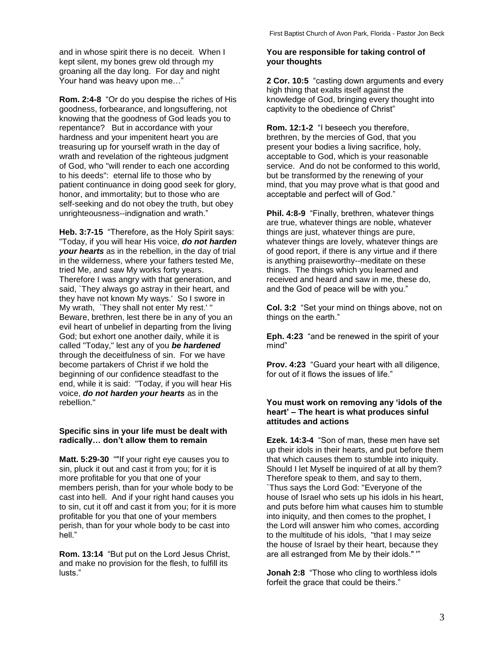and in whose spirit there is no deceit. When I kept silent, my bones grew old through my groaning all the day long. For day and night Your hand was heavy upon me…"

**Rom. 2:4-8** "Or do you despise the riches of His goodness, forbearance, and longsuffering, not knowing that the goodness of God leads you to repentance? But in accordance with your hardness and your impenitent heart you are treasuring up for yourself wrath in the day of wrath and revelation of the righteous judgment of God, who "will render to each one according to his deeds": eternal life to those who by patient continuance in doing good seek for glory, honor, and immortality; but to those who are self-seeking and do not obey the truth, but obey unrighteousness--indignation and wrath."

**Heb. 3:7-15** "Therefore, as the Holy Spirit says: "Today, if you will hear His voice, *do not harden your hearts* as in the rebellion, in the day of trial in the wilderness, where your fathers tested Me, tried Me, and saw My works forty years. Therefore I was angry with that generation, and said, `They always go astray in their heart, and they have not known My ways.' So I swore in My wrath, `They shall not enter My rest.' " Beware, brethren, lest there be in any of you an evil heart of unbelief in departing from the living God; but exhort one another daily, while it is called "Today," lest any of you *be hardened* through the deceitfulness of sin. For we have become partakers of Christ if we hold the beginning of our confidence steadfast to the end, while it is said: "Today, if you will hear His voice, *do not harden your hearts* as in the rebellion."

## **Specific sins in your life must be dealt with radically… don't allow them to remain**

**Matt. 5:29-30** ""If your right eye causes you to sin, pluck it out and cast it from you; for it is more profitable for you that one of your members perish, than for your whole body to be cast into hell. And if your right hand causes you to sin, cut it off and cast it from you; for it is more profitable for you that one of your members perish, than for your whole body to be cast into hell."

**Rom. 13:14** "But put on the Lord Jesus Christ, and make no provision for the flesh, to fulfill its lusts."

## **You are responsible for taking control of your thoughts**

**2 Cor. 10:5** "casting down arguments and every high thing that exalts itself against the knowledge of God, bringing every thought into captivity to the obedience of Christ"

**Rom. 12:1-2** "I beseech you therefore, brethren, by the mercies of God, that you present your bodies a living sacrifice, holy, acceptable to God, which is your reasonable service. And do not be conformed to this world, but be transformed by the renewing of your mind, that you may prove what is that good and acceptable and perfect will of God."

**Phil. 4:8-9** "Finally, brethren, whatever things are true, whatever things are noble, whatever things are just, whatever things are pure, whatever things are lovely, whatever things are of good report, if there is any virtue and if there is anything praiseworthy--meditate on these things. The things which you learned and received and heard and saw in me, these do, and the God of peace will be with you."

**Col. 3:2** "Set your mind on things above, not on things on the earth."

**Eph. 4:23** "and be renewed in the spirit of your mind"

**Prov. 4:23** "Guard your heart with all diligence, for out of it flows the issues of life."

### **You must work on removing any 'idols of the heart' – The heart is what produces sinful attitudes and actions**

**Ezek. 14:3-4** "Son of man, these men have set up their idols in their hearts, and put before them that which causes them to stumble into iniquity. Should I let Myself be inquired of at all by them? Therefore speak to them, and say to them, `Thus says the Lord God: "Everyone of the house of Israel who sets up his idols in his heart, and puts before him what causes him to stumble into iniquity, and then comes to the prophet, I the Lord will answer him who comes, according to the multitude of his idols, "that I may seize the house of Israel by their heart, because they are all estranged from Me by their idols." '"

**Jonah 2:8** "Those who cling to worthless idols forfeit the grace that could be theirs."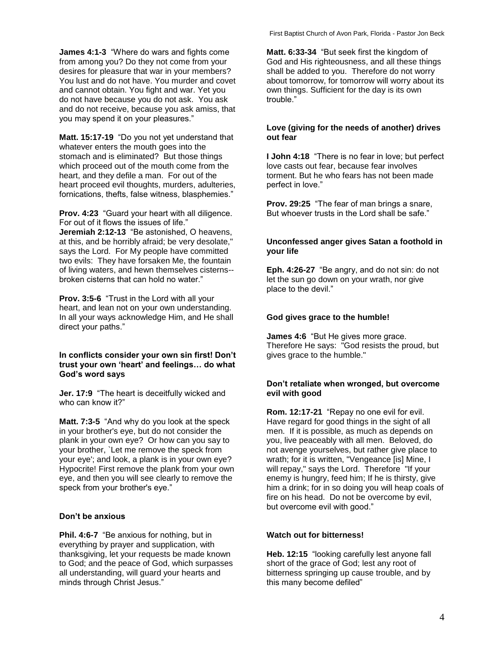**James 4:1-3** "Where do wars and fights come from among you? Do they not come from your desires for pleasure that war in your members? You lust and do not have. You murder and covet and cannot obtain. You fight and war. Yet you do not have because you do not ask. You ask and do not receive, because you ask amiss, that you may spend it on your pleasures."

**Matt. 15:17-19** "Do you not yet understand that whatever enters the mouth goes into the stomach and is eliminated? But those things which proceed out of the mouth come from the heart, and they defile a man. For out of the heart proceed evil thoughts, murders, adulteries, fornications, thefts, false witness, blasphemies."

**Prov. 4:23** "Guard your heart with all diligence. For out of it flows the issues of life." **Jeremiah 2:12-13** "Be astonished, O heavens, at this, and be horribly afraid; be very desolate," says the Lord. For My people have committed two evils: They have forsaken Me, the fountain

of living waters, and hewn themselves cisterns- broken cisterns that can hold no water."

**Prov. 3:5-6** "Trust in the Lord with all your heart, and lean not on your own understanding. In all your ways acknowledge Him, and He shall direct your paths."

## **In conflicts consider your own sin first! Don't trust your own 'heart' and feelings… do what God's word says**

**Jer. 17:9** "The heart is deceitfully wicked and who can know it?"

**Matt. 7:3-5** "And why do you look at the speck in your brother's eye, but do not consider the plank in your own eye? Or how can you say to your brother, `Let me remove the speck from your eye'; and look, a plank is in your own eye? Hypocrite! First remove the plank from your own eye, and then you will see clearly to remove the speck from your brother's eye."

## **Don't be anxious**

**Phil. 4:6-7** "Be anxious for nothing, but in everything by prayer and supplication, with thanksgiving, let your requests be made known to God; and the peace of God, which surpasses all understanding, will guard your hearts and minds through Christ Jesus."

**Matt. 6:33-34** "But seek first the kingdom of God and His righteousness, and all these things shall be added to you. Therefore do not worry about tomorrow, for tomorrow will worry about its own things. Sufficient for the day is its own trouble."

## **Love (giving for the needs of another) drives out fear**

**I John 4:18** "There is no fear in love; but perfect love casts out fear, because fear involves torment. But he who fears has not been made perfect in love."

**Prov. 29:25** "The fear of man brings a snare, But whoever trusts in the Lord shall be safe."

## **Unconfessed anger gives Satan a foothold in your life**

**Eph. 4:26-27** "Be angry, and do not sin: do not let the sun go down on your wrath, nor give place to the devil."

## **God gives grace to the humble!**

**James 4:6** "But He gives more grace. Therefore He says: "God resists the proud, but gives grace to the humble."

## **Don't retaliate when wronged, but overcome evil with good**

**Rom. 12:17-21** "Repay no one evil for evil. Have regard for good things in the sight of all men. If it is possible, as much as depends on you, live peaceably with all men. Beloved, do not avenge yourselves, but rather give place to wrath; for it is written, "Vengeance [is] Mine, I will repay," says the Lord. Therefore "If your enemy is hungry, feed him; If he is thirsty, give him a drink; for in so doing you will heap coals of fire on his head. Do not be overcome by evil, but overcome evil with good."

# **Watch out for bitterness!**

**Heb. 12:15** "looking carefully lest anyone fall short of the grace of God; lest any root of bitterness springing up cause trouble, and by this many become defiled"